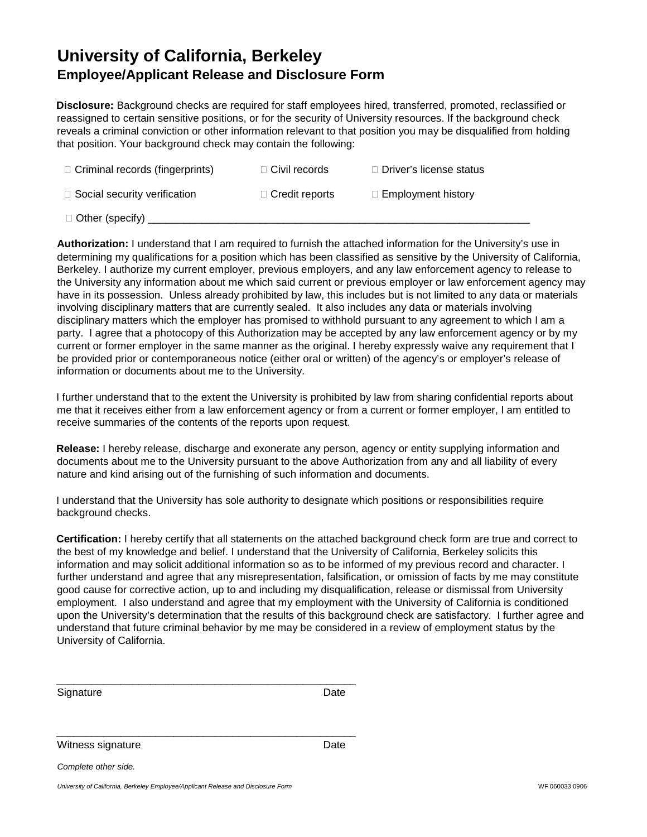## **University of California, Berkeley Employee/Applicant Release and Disclosure Form**

**Disclosure:** Background checks are required for staff employees hired, transferred, promoted, reclassified or reassigned to certain sensitive positions, or for the security of University resources. If the background check reveals a criminal conviction or other information relevant to that position you may be disqualified from holding that position. Your background check may contain the following:

| $\Box$ Criminal records (fingerprints) | $\Box$ Civil records  | $\Box$ Driver's license status |
|----------------------------------------|-----------------------|--------------------------------|
| $\Box$ Social security verification    | $\Box$ Credit reports | $\Box$ Employment history      |
| $\Box$ Other (specify)                 |                       |                                |

**Authorization:** I understand that I am required to furnish the attached information for the University's use in determining my qualifications for a position which has been classified as sensitive by the University of California, Berkeley. I authorize my current employer, previous employers, and any law enforcement agency to release to the University any information about me which said current or previous employer or law enforcement agency may have in its possession. Unless already prohibited by law, this includes but is not limited to any data or materials involving disciplinary matters that are currently sealed. It also includes any data or materials involving disciplinary matters which the employer has promised to withhold pursuant to any agreement to which I am a party. I agree that a photocopy of this Authorization may be accepted by any law enforcement agency or by my current or former employer in the same manner as the original. I hereby expressly waive any requirement that I be provided prior or contemporaneous notice (either oral or written) of the agency's or employer's release of information or documents about me to the University.

I further understand that to the extent the University is prohibited by law from sharing confidential reports about me that it receives either from a law enforcement agency or from a current or former employer, I am entitled to receive summaries of the contents of the reports upon request.

**Release:** I hereby release, discharge and exonerate any person, agency or entity supplying information and documents about me to the University pursuant to the above Authorization from any and all liability of every nature and kind arising out of the furnishing of such information and documents.

I understand that the University has sole authority to designate which positions or responsibilities require background checks.

**Certification:** I hereby certify that all statements on the attached background check form are true and correct to the best of my knowledge and belief. I understand that the University of California, Berkeley solicits this information and may solicit additional information so as to be informed of my previous record and character. I further understand and agree that any misrepresentation, falsification, or omission of facts by me may constitute good cause for corrective action, up to and including my disqualification, release or dismissal from University employment. I also understand and agree that my employment with the University of California is conditioned upon the University's determination that the results of this background check are satisfactory. I further agree and understand that future criminal behavior by me may be considered in a review of employment status by the University of California.

| Signature | Date |
|-----------|------|
|           |      |

\_\_\_\_\_\_\_\_\_\_\_\_\_\_\_\_\_\_\_\_\_\_\_\_\_\_\_\_\_\_\_\_\_\_\_\_\_\_\_\_\_\_\_\_\_\_\_\_\_\_\_

Witness signature Date

\_\_\_\_\_\_\_\_\_\_\_\_\_\_\_\_\_\_\_\_\_\_\_\_\_\_\_\_\_\_\_\_\_\_\_\_\_\_\_\_\_\_\_\_\_\_\_\_\_\_\_